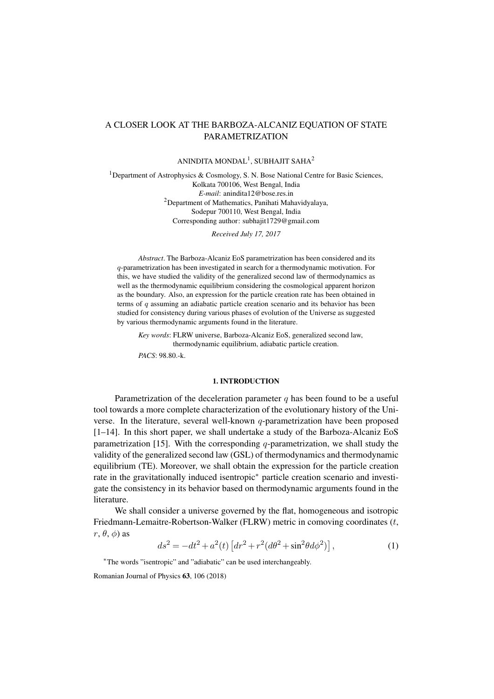# A CLOSER LOOK AT THE BARBOZA-ALCANIZ EQUATION OF STATE PARAMETRIZATION

ANINDITA MONDAL $^{\rm l}$ , SUBHAJIT SAHA $^{\rm 2}$ 

<sup>1</sup>Department of Astrophysics & Cosmology, S. N. Bose National Centre for Basic Sciences, Kolkata 700106, West Bengal, India *E-mail*: anindita12@bose.res.in  $2$ Department of Mathematics, Panihati Mahavidyalaya, Sodepur 700110, West Bengal, India Corresponding author: subhajit1729@gmail.com

*Received July 17, 2017*

*Abstract*. The Barboza-Alcaniz EoS parametrization has been considered and its *q*-parametrization has been investigated in search for a thermodynamic motivation. For this, we have studied the validity of the generalized second law of thermodynamics as well as the thermodynamic equilibrium considering the cosmological apparent horizon as the boundary. Also, an expression for the particle creation rate has been obtained in terms of *q* assuming an adiabatic particle creation scenario and its behavior has been studied for consistency during various phases of evolution of the Universe as suggested by various thermodynamic arguments found in the literature.

*Key words*: FLRW universe, Barboza-Alcaniz EoS, generalized second law, thermodynamic equilibrium, adiabatic particle creation. *PACS*: 98.80.-k.

#### 1. INTRODUCTION

Parametrization of the deceleration parameter *q* has been found to be a useful tool towards a more complete characterization of the evolutionary history of the Universe. In the literature, several well-known *q*-parametrization have been proposed [1–14]. In this short paper, we shall undertake a study of the Barboza-Alcaniz EoS parametrization [15]. With the corresponding *q*-parametrization, we shall study the validity of the generalized second law (GSL) of thermodynamics and thermodynamic equilibrium (TE). Moreover, we shall obtain the expression for the particle creation [rat](#page-6-0)[e in](#page-7-0) the gravitationally induced isentropic*∗* particle creation scenario and investigate the consiste[ncy](#page-7-1) in its behavior based on thermodynamic arguments found in the literature.

We shall consider a universe governed [b](#page-0-0)y the flat, homogeneous and isotropic Friedmann-Lemaitre-Robertson-Walker (FLRW) metric in comoving coordinates (*t*,  $r, \theta, \phi$ ) as

$$
ds^{2} = -dt^{2} + a^{2}(t) \left[ dr^{2} + r^{2} (d\theta^{2} + \sin^{2} \theta d\phi^{2}) \right],
$$
 (1)

*∗*The words "isentropic" and "adiabatic" can be used interchangeably.

<span id="page-0-0"></span>Romanian Journal of Physics 63, 106 (2018)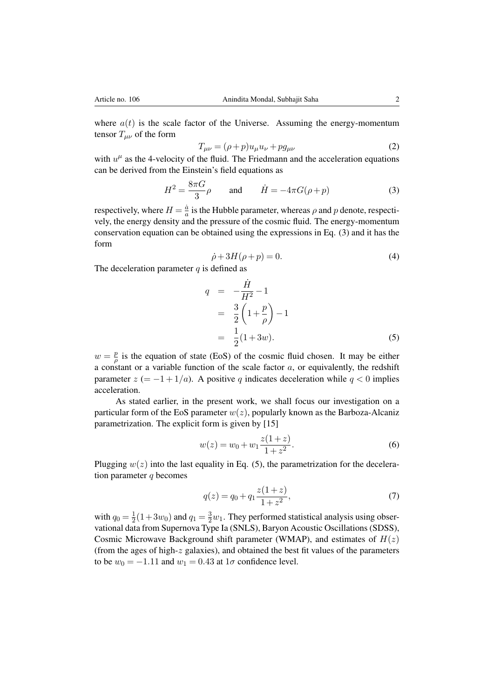where  $a(t)$  is the scale factor of the Universe. Assuming the energy-momentum tensor  $T_{\mu\nu}$  of the form

$$
T_{\mu\nu} = (\rho + p)u_{\mu}u_{\nu} + pg_{\mu\nu}
$$
\n(2)

with  $u^{\mu}$  as the 4-velocity of the fluid. The Friedmann and the acceleration equations can be derived from the Einstein's field equations as

$$
H^2 = \frac{8\pi G}{3}\rho \qquad \text{and} \qquad \dot{H} = -4\pi G(\rho + p) \tag{3}
$$

respectively, where  $H = \frac{\dot{a}}{a}$  $\frac{a}{a}$  is the Hubble parameter, whereas  $\rho$  and  $p$  denote, respectively, the energy density and the pressure of the cosmic fluid. The energy-momentum conservation equation can be obtained using the expressions in Eq. (3) and it has the form

$$
\dot{\rho} + 3H(\rho + p) = 0. \tag{4}
$$

The deceleration parameter *q* is defined as

<span id="page-1-0"></span>
$$
q = -\frac{\dot{H}}{H^2} - 1
$$
  
=  $\frac{3}{2} \left( 1 + \frac{p}{\rho} \right) - 1$   
=  $\frac{1}{2} (1 + 3w).$  (5)

 $w = \frac{p}{a}$  $\frac{p}{\rho}$  is the equation of state (EoS) of the cosmic fluid chosen. It may be either a constant or a variable function of the scale factor *a*, or equivalently, the redshift parameter  $z = -1 + 1/a$ . A positive *q* indicates deceleration while  $q < 0$  implies acceleration.

As stated earlier, in the present work, we shall focus our investigation on a particular form of the EoS parameter  $w(z)$ , popularly known as the Barboza-Alcaniz parametrization. The explicit form is given by [15]

$$
w(z) = w_0 + w_1 \frac{z(1+z)}{1+z^2}.
$$
 (6)

Plugging  $w(z)$  into [the](#page-7-1) last equality in Eq. (5), the parametrization for the deceleration parameter *q* becomes

$$
q(z) = q_0 + q_1 \frac{z(1+z)}{1+z^2},\tag{7}
$$

with  $q_0 = \frac{1}{2}$  $\frac{1}{2}(1+3w_0)$  and  $q_1 = \frac{3}{2}w_1$ . They performed statistical analysis using observational data from Supernova Type Ia (SNLS), Baryon Acoustic Oscillations (SDSS), Cosmic Microwave Background shift parameter (WMAP), and estimates of *H*(*z*) (from the ages of high-*z* galaxies), and obtained the best fit values of the parameters to be  $w_0 = -1.11$  and  $w_1 = 0.43$  at  $1\sigma$  confidence level.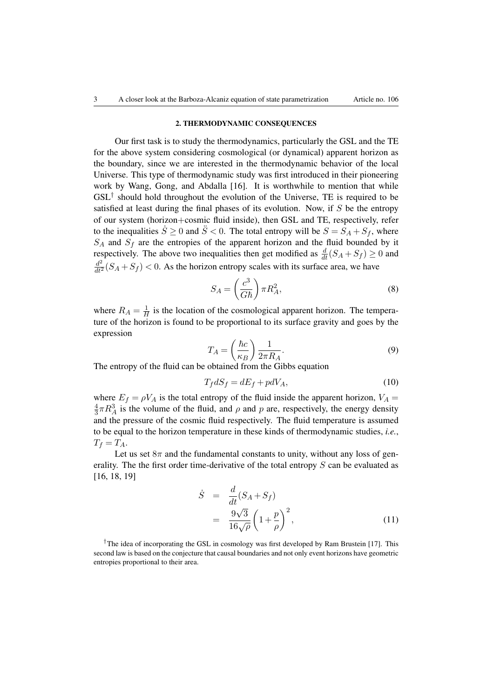### 2. THERMODYNAMIC CONSEQUENCES

Our first task is to study the thermodynamics, particularly the GSL and the TE for the above system considering cosmological (or dynamical) apparent horizon as the boundary, since we are interested in the thermodynamic behavior of the local Universe. This type of thermodynamic study was first introduced in their pioneering work by Wang, Gong, and Abdalla [16]. It is worthwhile to mention that while GSL*†* should hold throughout the evolution of the Universe, TE is required to be satisfied at least during the final phases of its evolution. Now, if *S* be the entropy of our system (horizon+cosmic fluid inside), then GSL and TE, respectively, refer to th[e](#page-2-0) inequalities  $\dot{S} \ge 0$  and  $\ddot{S} < 0$ . [The](#page-7-2) total entropy will be  $S = S_A + S_f$ , where *S<sup>A</sup>* and *S<sup>f</sup>* are the entropies of the apparent horizon and the fluid bounded by it respectively. The above two inequalities then get modified as  $\frac{d}{dt}(S_A + S_f) \ge 0$  and  $\frac{d^2}{dt^2}(S_A + S_f)$  < 0. As the horizon entropy scales with its surface area, we have

$$
S_A = \left(\frac{c^3}{G\hbar}\right)\pi R_A^2,\tag{8}
$$

where  $R_A = \frac{1}{H}$  $\frac{1}{H}$  is the location of the cosmological apparent horizon. The temperature of the horizon is found to be proportional to its surface gravity and goes by the expression

$$
T_A = \left(\frac{\hbar c}{\kappa_B}\right) \frac{1}{2\pi R_A}.\tag{9}
$$

The entropy of the fluid can be obtained from the Gibbs equation

$$
T_f dS_f = dE_f + p dV_A,\t\t(10)
$$

where  $E_f = \rho V_A$  is the total entropy of the fluid inside the apparent horizon,  $V_A$ 4  $\frac{4}{3}\pi R_A^3$  is the volume of the fluid, and  $\rho$  and  $p$  are, respectively, the energy density and the pressure of the cosmic fluid respectively. The fluid temperature is assumed to be equal to the horizon temperature in these kinds of thermodynamic studies, *i.e.*,  $T_f = T_A$ .

Let us set  $8\pi$  and the fundamental constants to unity, without any loss of generality. The the first order time-derivative of the total entropy *S* can be evaluated as [16, 18, 19]

$$
\dot{S} = \frac{d}{dt}(S_A + S_f) \n= \frac{9\sqrt{3}}{16\sqrt{\rho}} \left(1 + \frac{p}{\rho}\right)^2,
$$
\n(11)

<span id="page-2-0"></span><sup>†</sup>The idea of incorporating the GSL in cosmology was first developed by Ram Brustein [17]. This second law is based on the conjecture that causal boundaries and not only event horizons have geometric entropies proportional to their area.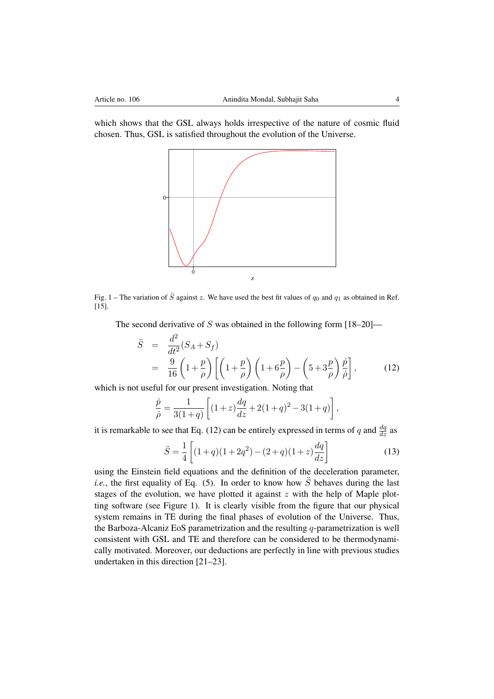which shows that the GSL always holds irrespective of the nature of cosmic fluid chosen. Thus, GSL is satisfied throughout the evolution of the Universe.



Fig. 1 – The variation of  $\ddot{S}$  against  $z$ . We have used the best fit values of  $q_0$  and  $q_1$  as obtained in Ref. [15].

<span id="page-3-1"></span>The second derivative of *S* was obtained in the following form [18–20]—

$$
\ddot{S} = \frac{d^2}{dt^2}(S_A + S_f)
$$
  
= 
$$
\frac{9}{16}\left(1 + \frac{p}{\rho}\right)\left[\left(1 + \frac{p}{\rho}\right)\left(1 + 6\frac{p}{\rho}\right) - \left(5 + 3\frac{p}{\rho}\right)\frac{\dot{p}}{\dot{\rho}}\right],
$$
(12)

which is not useful for our present investigation. Noting that

<span id="page-3-0"></span>
$$
\frac{\dot{p}}{\dot{\rho}} = \frac{1}{3(1+q)} \left[ (1+z)\frac{dq}{dz} + 2(1+q)^2 - 3(1+q) \right],
$$

it is remarkable to see that Eq. (12) can be entirely expressed in terms of *q* and  $\frac{dq}{dz}$  as

$$
\ddot{S} = \frac{1}{4} \left[ (1+q)(1+2q^2) - (2+q)(1+z)\frac{dq}{dz} \right]
$$
 (13)

using the Einstein field equati[ons](#page-3-0) and the definition of the deceleration parameter, *i.e.*, the first equality of Eq. (5). In order to know how  $\ddot{S}$  behaves during the last stages of the evolution, we have plotted it against *z* with the help of Maple plotting software (see Figure 1). It is clearly visible from the figure that our physical system remains in TE during the final phases of evolution of the Universe. Thus, the Barboza-Alcaniz EoS para[m](#page-1-0)etrization and the resulting *q*-parametrization is well consistent with GSL and TE and therefore can be considered to be thermodynamically motivated. Moreove[r, o](#page-3-1)ur deductions are perfectly in line with previous studies undertaken in this direction [21–23].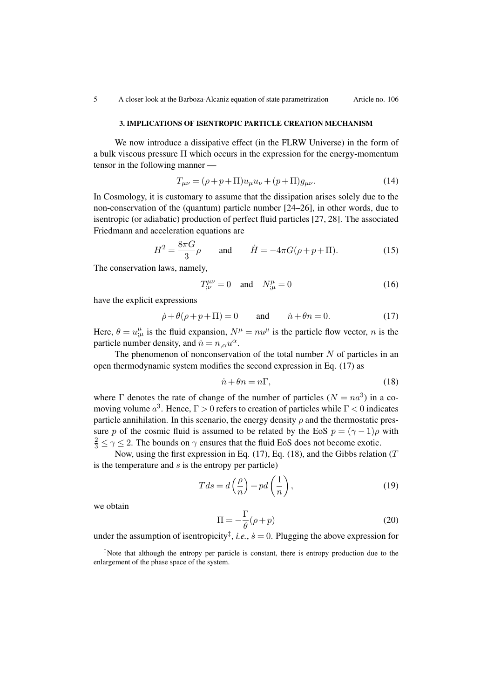## 3. IMPLICATIONS OF ISENTROPIC PARTICLE CREATION MECHANISM

We now introduce a dissipative effect (in the FLRW Universe) in the form of a bulk viscous pressure Π which occurs in the expression for the energy-momentum tensor in the following manner —

$$
T_{\mu\nu} = (\rho + p + \Pi)u_{\mu}u_{\nu} + (p + \Pi)g_{\mu\nu}.
$$
 (14)

In Cosmology, it is customary to assume that the dissipation arises solely due to the non-conservation of the (quantum) particle number [24–26], in other words, due to isentropic (or adiabatic) production of perfect fluid particles [27, 28]. The associated Friedmann and acceleration equations are

$$
H^{2} = \frac{8\pi G}{3}\rho \quad \text{and} \quad \dot{H} = -4\pi G(\rho + p + \Pi). \tag{15}
$$

The conservation laws, namely,

<span id="page-4-2"></span>
$$
T_{;\nu}^{\mu\nu} = 0 \quad \text{and} \quad N_{;\mu}^{\mu} = 0 \tag{16}
$$

have the explicit expressions

<span id="page-4-0"></span>
$$
\dot{\rho} + \theta(\rho + p + \Pi) = 0 \quad \text{and} \quad \dot{n} + \theta n = 0. \tag{17}
$$

Here,  $\theta = u_{\mu}^{\mu}$  is the fluid expansion,  $N^{\mu} = nu^{\mu}$  is the particle flow vector, *n* is the particle number density, and  $\dot{n} = n_{,\alpha} u^{\alpha}$ .

The phenomenon of nonconservation of the total number *N* of particles in an open thermodynamic system modifies the second expression in Eq. (17) as

$$
\dot{n} + \theta n = n\Gamma,\tag{18}
$$

where  $\Gamma$  denotes the rate of change of the number of particles  $(N = na^3)$  in a comoving volume *a* 3 . Hence, Γ *>* 0 refers to creation of particles while [Γ](#page-4-0) *<* 0 indicates particle annihilation. In this scenario, the energy density  $\rho$  and the thermostatic pressure *p* of the cosmic fluid is assumed to be related by the EoS  $p = (\gamma - 1)\rho$  with  $\frac{2}{3} \le \gamma \le 2$ . The bounds on  $\gamma$  ensures that the fluid EoS does not become exotic.

Now, using the first expression in Eq. (17), Eq. (18), and the Gibbs relation (*T* is the temperature and *s* is the entropy per particle)

$$
Tds = d\left(\frac{\rho}{n}\right) + pd\left(\frac{1}{n}\right),\tag{19}
$$

we obtain

$$
\Pi = -\frac{\Gamma}{\theta}(\rho + p) \tag{20}
$$

under the assumption of isentropicity<sup>‡</sup>, *i.e.*,  $\dot{s} = 0$ . Plugging the above expression for

<span id="page-4-1"></span>*<sup>‡</sup>*Note that although the entropy per particle is constant, there is entropy production due to the enlargement of the phase space of the system.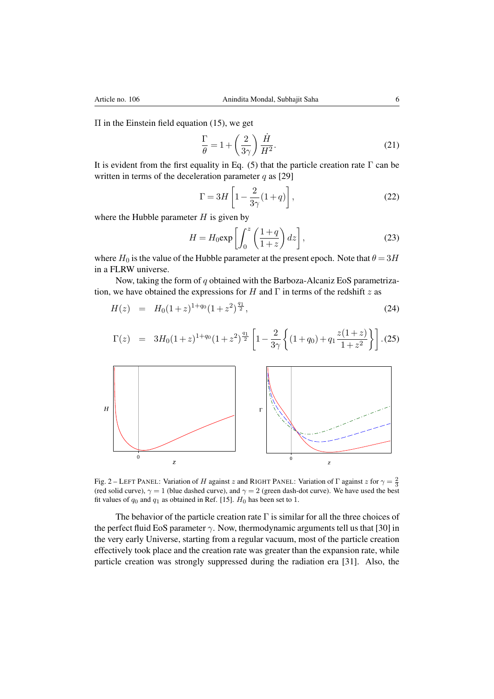$\Pi$  in the Einstein field equation (15), we get

$$
\frac{\Gamma}{\theta} = 1 + \left(\frac{2}{3\gamma}\right) \frac{\dot{H}}{H^2}.
$$
\n(21)

It is evident from the first equali[ty](#page-4-2) in Eq. (5) that the particle creation rate  $\Gamma$  can be written in terms of the deceleration parameter *q* as [29]

$$
\Gamma = 3H \left[ 1 - \frac{2}{3\gamma} (1+q) \right],\tag{22}
$$

where the Hubble parameter *H* is given by

$$
H = H_0 \exp\left[\int_0^z \left(\frac{1+q}{1+z}\right) dz\right],\tag{23}
$$

where  $H_0$  is the value of the Hubble parameter at the present epoch. Note that  $\theta = 3H$ in a FLRW universe.

Now, taking the form of *q* obtained with the Barboza-Alcaniz EoS parametrization, we have obtained the expressions for *H* and Γ in terms of the redshift *z* as

$$
H(z) = H_0(1+z)^{1+q_0}(1+z^2)^{\frac{q_1}{2}}, \tag{24}
$$

$$
\Gamma(z) = 3H_0(1+z)^{1+q_0}(1+z^2)^{\frac{q_1}{2}} \left[1 - \frac{2}{3\gamma} \left\{(1+q_0) + q_1 \frac{z(1+z)}{1+z^2}\right\}\right].
$$
 (25)



Fig. 2 – LEFT PANEL: Variation of *H* against *z* and RIGHT PANEL: Variation of  $\Gamma$  against *z* for  $\gamma = \frac{2}{3}$ (red solid curve),  $\gamma = 1$  (blue dashed curve), and  $\gamma = 2$  (green dash-dot curve). We have used the best fit values of  $q_0$  and  $q_1$  as obtained in Ref. [15].  $H_0$  has been set to 1.

<span id="page-5-0"></span>The behavior of the particle creation rate  $\Gamma$  is similar for all the three choices of the perfect fluid EoS parameter *γ*. Now, thermodynamic arguments tell us that [30] in the very early Universe, starting fr[om](#page-7-1) a regular vacuum, most of the particle creation effectively took place and the creation rate was greater than the expansion rate, while particle creation was strongly suppressed during the radiation era [31]. Also, the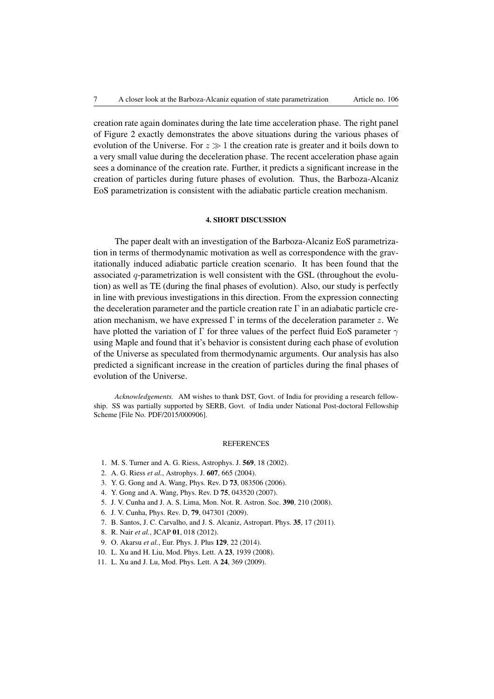creation rate again dominates during the late time acceleration phase. The right panel of Figure 2 exactly demonstrates the above situations during the various phases of evolution of the Universe. For  $z \gg 1$  the creation rate is greater and it boils down to a very small value during the deceleration phase. The recent acceleration phase again sees a dominance of the creation rate. Further, it predicts a significant increase in the creation o[f](#page-5-0) particles during future phases of evolution. Thus, the Barboza-Alcaniz EoS parametrization is consistent with the adiabatic particle creation mechanism.

### 4. SHORT DISCUSSION

The paper dealt with an investigation of the Barboza-Alcaniz EoS parametrization in terms of thermodynamic motivation as well as correspondence with the gravitationally induced adiabatic particle creation scenario. It has been found that the associated *q*-parametrization is well consistent with the GSL (throughout the evolution) as well as TE (during the final phases of evolution). Also, our study is perfectly in line with previous investigations in this direction. From the expression connecting the deceleration parameter and the particle creation rate  $\Gamma$  in an adiabatic particle creation mechanism, we have expressed Γ in terms of the deceleration parameter *z*. We have plotted the variation of Γ for three values of the perfect fluid EoS parameter *γ* using Maple and found that it's behavior is consistent during each phase of evolution of the Universe as speculated from thermodynamic arguments. Our analysis has also predicted a significant increase in the creation of particles during the final phases of evolution of the Universe.

*Acknowledgements.* AM wishes to thank DST, Govt. of India for providing a research fellowship. SS was partially supported by SERB, Govt. of India under National Post-doctoral Fellowship Scheme [File No. PDF/2015/000906].

#### **REFERENCES**

- 1. M. S. Turner and A. G. Riess, Astrophys. J. 569, 18 (2002).
- 2. A. G. Riess *et al.*, Astrophys. J. 607, 665 (2004).
- 3. Y. G. Gong and A. Wang, Phys. Rev. D 73, 083506 (2006).
- 4. Y. Gong and A. Wang, Phys. Rev. D 75, 043520 (2007).
- <span id="page-6-0"></span>5. J. V. Cunha and J. A. S. Lima, Mon. Not. R. Astron. Soc. 390, 210 (2008).
- 6. J. V. Cunha, Phys. Rev. D, 79, 047301 (2009).
- 7. B. Santos, J. C. Carvalho, and J. S. Alcaniz, Astropart. Phys. 35, 17 (2011).
- 8. R. Nair *et al.*, JCAP 01, 018 (2012).
- 9. O. Akarsu *et al.*, Eur. Phys. J. Plus 129, 22 (2014).
- 10. L. Xu and H. Liu, Mod. Phys. Lett. A 23, 1939 (2008).
- 11. L. Xu and J. Lu, Mod. Phys. Lett. A 24, 369 (2009).